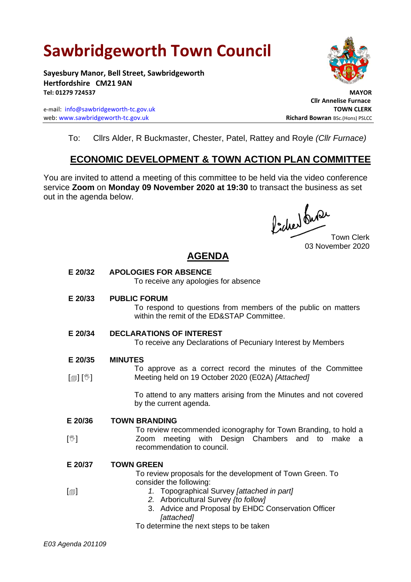# **Sawbridgeworth Town Council**

**Sayesbury Manor, Bell Street, Sawbridgeworth Hertfordshire CM21 9AN Tel: 01279 724537 MAYOR**

e-mail: [info@sawbridgeworth-tc.gov.uk](mailto:info@sawbridgeworth-tc.gov.uk) **TOWN CLERK TOWN CLERK** web: www.sawbridgeworth-tc.gov.uk<br> **Richard Bowran** BSc.(Hons) PSLCC



 **Cllr Annelise Furnace**

To: Cllrs Alder, R Buckmaster, Chester, Patel, Rattey and Royle *(Cllr Furnace)*

## **ECONOMIC DEVELOPMENT & TOWN ACTION PLAN COMMITTEE**

You are invited to attend a meeting of this committee to be held via the video conference service **Zoom** on **Monday 09 November 2020 at 19:30** to transact the business as set out in the agenda below.

focher du Provencierk

03 November 2020

## **AGENDA**

| E 20/32        | <b>APOLOGIES FOR ABSENCE</b><br>To receive any apologies for absence                                                                                                               |
|----------------|------------------------------------------------------------------------------------------------------------------------------------------------------------------------------------|
| E 20/33        | <b>PUBLIC FORUM</b><br>To respond to questions from members of the public on matters<br>within the remit of the ED&STAP Committee.                                                 |
| E 20/34        | <b>DECLARATIONS OF INTEREST</b><br>To receive any Declarations of Pecuniary Interest by Members                                                                                    |
| E 20/35        | <b>MINUTES</b>                                                                                                                                                                     |
| [@] [V]        | To approve as a correct record the minutes of the Committee<br>Meeting held on 19 October 2020 (E02A) [Attached]                                                                   |
|                | To attend to any matters arising from the Minutes and not covered<br>by the current agenda.                                                                                        |
| E 20/36        | <b>TOWN BRANDING</b>                                                                                                                                                               |
| $[\mathbb{V}]$ | To review recommended iconography for Town Branding, to hold a<br>meeting with Design Chambers and<br>Zoom<br>to make a<br>recommendation to council.                              |
| E 20/37        | <b>TOWN GREEN</b>                                                                                                                                                                  |
|                | To review proposals for the development of Town Green. To                                                                                                                          |
| $\boxdot$      | consider the following:<br>1. Topographical Survey [attached in part]<br>2. Arboricultural Survey {to follow]<br>3. Advice and Proposal by EHDC Conservation Officer<br>[attached] |
|                | To determine the next steps to be taken                                                                                                                                            |